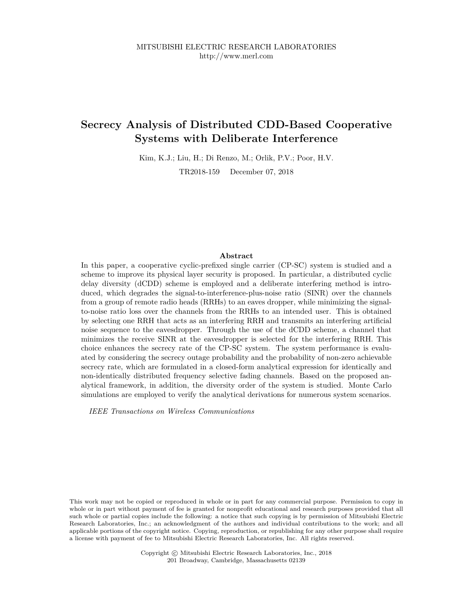# **Secrecy Analysis of Distributed CDD-Based Cooperative Systems with Deliberate Interference**

Kim, K.J.; Liu, H.; Di Renzo, M.; Orlik, P.V.; Poor, H.V.

TR2018-159 December 07, 2018

# **Abstract**

In this paper, a cooperative cyclic-prefixed single carrier (CP-SC) system is studied and a scheme to improve its physical layer security is proposed. In particular, a distributed cyclic delay diversity (dCDD) scheme is employed and a deliberate interfering method is introduced, which degrades the signal-to-interference-plus-noise ratio (SINR) over the channels from a group of remote radio heads (RRHs) to an eaves dropper, while minimizing the signalto-noise ratio loss over the channels from the RRHs to an intended user. This is obtained by selecting one RRH that acts as an interfering RRH and transmits an interfering artificial noise sequence to the eavesdropper. Through the use of the dCDD scheme, a channel that minimizes the receive SINR at the eavesdropper is selected for the interfering RRH. This choice enhances the secrecy rate of the CP-SC system. The system performance is evaluated by considering the secrecy outage probability and the probability of non-zero achievable secrecy rate, which are formulated in a closed-form analytical expression for identically and non-identically distributed frequency selective fading channels. Based on the proposed analytical framework, in addition, the diversity order of the system is studied. Monte Carlo simulations are employed to verify the analytical derivations for numerous system scenarios.

*IEEE Transactions on Wireless Communications*

This work may not be copied or reproduced in whole or in part for any commercial purpose. Permission to copy in whole or in part without payment of fee is granted for nonprofit educational and research purposes provided that all such whole or partial copies include the following: a notice that such copying is by permission of Mitsubishi Electric Research Laboratories, Inc.; an acknowledgment of the authors and individual contributions to the work; and all applicable portions of the copyright notice. Copying, reproduction, or republishing for any other purpose shall require a license with payment of fee to Mitsubishi Electric Research Laboratories, Inc. All rights reserved.

> Copyright © Mitsubishi Electric Research Laboratories, Inc., 2018 201 Broadway, Cambridge, Massachusetts 02139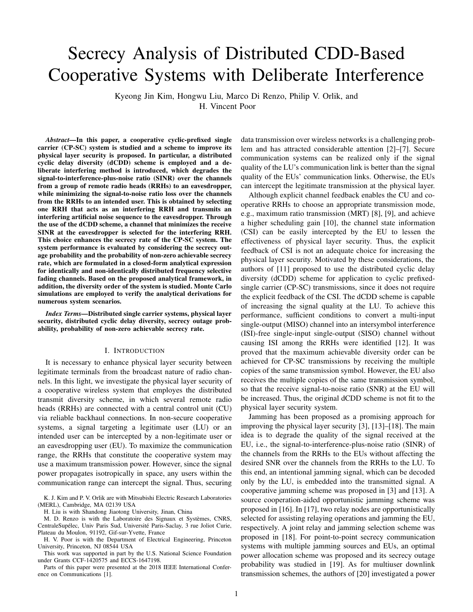# Secrecy Analysis of Distributed CDD-Based Cooperative Systems with Deliberate Interference

Kyeong Jin Kim, Hongwu Liu, Marco Di Renzo, Philip V. Orlik, and

H. Vincent Poor

*Abstract***—In this paper, a cooperative cyclic-prefixed single carrier (CP-SC) system is studied and a scheme to improve its physical layer security is proposed. In particular, a distributed cyclic delay diversity (dCDD) scheme is employed and a deliberate interfering method is introduced, which degrades the signal-to-interference-plus-noise ratio (SINR) over the channels from a group of remote radio heads (RRHs) to an eavesdropper, while minimizing the signal-to-noise ratio loss over the channels from the RRHs to an intended user. This is obtained by selecting one RRH that acts as an interfering RRH and transmits an interfering artificial noise sequence to the eavesdropper. Through the use of the dCDD scheme, a channel that minimizes the receive SINR at the eavesdropper is selected for the interfering RRH. This choice enhances the secrecy rate of the CP-SC system. The system performance is evaluated by considering the secrecy outage probability and the probability of non-zero achievable secrecy rate, which are formulated in a closed-form analytical expression for identically and non-identically distributed frequency selective fading channels. Based on the proposed analytical framework, in addition, the diversity order of the system is studied. Monte Carlo simulations are employed to verify the analytical derivations for numerous system scenarios.**

*Index Terms***—Distributed single carrier systems, physical layer security, distributed cyclic delay diversity, secrecy outage probability, probability of non-zero achievable secrecy rate.**

#### I. INTRODUCTION

It is necessary to enhance physical layer security between legitimate terminals from the broadcast nature of radio channels. In this light, we investigate the physical layer security of a cooperative wireless system that employes the distributed transmit diversity scheme, in which several remote radio heads (RRHs) are connected with a central control unit (CU) via reliable backhaul connections. In non-secure cooperative systems, a signal targeting a legitimate user (LU) or an intended user can be intercepted by a non-legitimate user or an eavesdropping user (EU). To maximize the communication range, the RRHs that constitute the cooperative system may use a maximum transmission power. However, since the signal power propagates isotropically in space, any users within the communication range can intercept the signal. Thus, securing

Parts of this paper were presented at the 2018 IEEE International Conference on Communications [1].

data transmission over wireless networks is a challenging problem and has attracted considerable attention [2]–[7]. Secure communication systems can be realized only if the signal quality of the LU's communication link is better than the signal quality of the EUs' communication links. Otherwise, the EUs can intercept the legitimate transmission at the physical layer.

Although explicit channel feedback enables the CU and cooperative RRHs to choose an appropriate transmission mode, e.g., maximum ratio transmission (MRT) [8], [9], and achieve a higher scheduling gain [10], the channel state information (CSI) can be easily intercepted by the EU to lessen the effectiveness of physical layer security. Thus, the explicit feedback of CSI is not an adequate choice for increasing the physical layer security. Motivated by these considerations, the authors of [11] proposed to use the distributed cyclic delay diversity (dCDD) scheme for application to cyclic prefixedsingle carrier (CP-SC) transmissions, since it does not require the explicit feedback of the CSI. The dCDD scheme is capable of increasing the signal quality at the LU. To achieve this performance, sufficient conditions to convert a multi-input single-output (MISO) channel into an intersymbol interference (ISI)-free single-input single-output (SISO) channel without causing ISI among the RRHs were identified [12]. It was proved that the maximum achievable diversity order can be achieved for CP-SC transmissions by receiving the multiple copies of the same transmission symbol. However, the EU also receives the multiple copies of the same transmission symbol, so that the receive signal-to-noise ratio (SNR) at the EU will be increased. Thus, the original dCDD scheme is not fit to the physical layer security system.

Jamming has been proposed as a promising approach for improving the physical layer security [3], [13]–[18]. The main idea is to degrade the quality of the signal received at the EU, i.e., the signal-to-interference-plus-noise ratio (SINR) of the channels from the RRHs to the EUs without affecting the desired SNR over the channels from the RRHs to the LU. To this end, an intentional jamming signal, which can be decoded only by the LU, is embedded into the transmitted signal. A cooperative jamming scheme was proposed in [3] and [13]. A source cooperation-aided opportunistic jamming scheme was proposed in [16]. In [17], two relay nodes are opportunistically selected for assisting relaying operations and jamming the EU, respectively. A joint relay and jamming selection scheme was proposed in [18]. For point-to-point secrecy communication systems with multiple jamming sources and EUs, an optimal power allocation scheme was proposed and its secrecy outage probability was studied in [19]. As for multiuser downlink transmission schemes, the authors of [20] investigated a power

K. J. Kim and P. V. Orlik are with Mitsubishi Electric Research Laboratories (MERL), Cambridge, MA 02139 USA

H. Liu is with Shandong Jiaotong University, Jinan, China

M. D. Renzo is with the Laboratoire des Signaux et Systèmes, CNRS, CentraleSupélec, Univ Paris Sud, Université Paris-Saclay, 3 rue Joliot Curie, Plateau du Moulon, 91192, Gif-sur-Yvette, France

H. V. Poor is with the Department of Electrical Engineering, Princeton University, Princeton, NJ 08544 USA

This work was supported in part by the U.S. National Science Foundation under Grants CCF-1420575 and ECCS-1647198.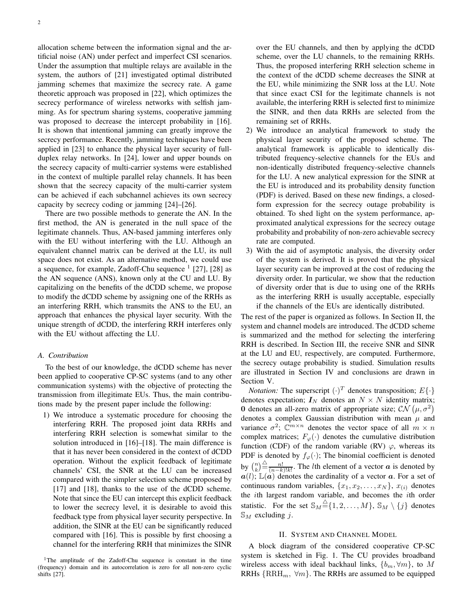allocation scheme between the information signal and the artificial noise (AN) under perfect and imperfect CSI scenarios. Under the assumption that multiple relays are available in the system, the authors of [21] investigated optimal distributed jamming schemes that maximize the secrecy rate. A game theoretic approach was proposed in [22], which optimizes the secrecy performance of wireless networks with selfish jamming. As for spectrum sharing systems, cooperative jamming was proposed to decrease the intercept probability in [16]. It is shown that intentional jamming can greatly improve the secrecy performance. Recently, jamming techniques have been applied in [23] to enhance the physical layer security of fullduplex relay networks. In [24], lower and upper bounds on the secrecy capacity of multi-carrier systems were established in the context of multiple parallel relay channels. It has been shown that the secrecy capacity of the multi-carrier system can be achieved if each subchannel achieves its own secrecy capacity by secrecy coding or jamming [24]–[26].

There are two possible methods to generate the AN. In the first method, the AN is generated in the null space of the legitimate channels. Thus, AN-based jamming interferes only with the EU without interfering with the LU. Although an equivalent channel matrix can be derived at the LU, its null space does not exist. As an alternative method, we could use a sequence, for example, Zadoff-Chu sequence <sup>1</sup> [27], [28] as the AN sequence (ANS), known only at the CU and LU. By capitalizing on the benefits of the dCDD scheme, we propose to modify the dCDD scheme by assigning one of the RRHs as an interfering RRH, which transmits the ANS to the EU, an approach that enhances the physical layer security. With the unique strength of dCDD, the interfering RRH interferes only with the EU without affecting the LU.

#### *A. Contribution*

To the best of our knowledge, the dCDD scheme has never been applied to cooperative CP-SC systems (and to any other communication systems) with the objective of protecting the transmission from illegitimate EUs. Thus, the main contributions made by the present paper include the following:

1) We introduce a systematic procedure for choosing the interfering RRH. The proposed joint data RRHs and interfering RRH selection is somewhat similar to the solution introduced in [16]–[18]. The main difference is that it has never been considered in the context of dCDD operation. Without the explicit feedback of legitimate channels' CSI, the SNR at the LU can be increased compared with the simpler selection scheme proposed by [17] and [18], thanks to the use of the dCDD scheme. Note that since the EU can intercept this explicit feedback to lower the secrecy level, it is desirable to avoid this feedback type from physical layer security perspective. In addition, the SINR at the EU can be significantly reduced compared with [16]. This is possible by first choosing a channel for the interfering RRH that minimizes the SINR over the EU channels, and then by applying the dCDD scheme, over the LU channels, to the remaining RRHs. Thus, the proposed interfering RRH selection scheme in the context of the dCDD scheme decreases the SINR at the EU, while minimizing the SNR loss at the LU. Note that since exact CSI for the legitimate channels is not available, the interfering RRH is selected first to minimize the SINR, and then data RRHs are selected from the remaining set of RRHs.

- 2) We introduce an analytical framework to study the physical layer security of the proposed scheme. The analytical framework is applicable to identically distributed frequency-selective channels for the EUs and non-identically distributed frequency-selective channels for the LU. A new analytical expression for the SINR at the EU is introduced and its probability density function (PDF) is derived. Based on these new findings, a closedform expression for the secrecy outage probability is obtained. To shed light on the system performance, approximated analytical expressions for the secrecy outage probability and probability of non-zero achievable secrecy rate are computed.
- 3) With the aid of asymptotic analysis, the diversity order of the system is derived. It is proved that the physical layer security can be improved at the cost of reducing the diversity order. In particular, we show that the reduction of diversity order that is due to using one of the RRHs as the interfering RRH is usually acceptable, especially if the channels of the EUs are identically distributed.

The rest of the paper is organized as follows. In Section II, the system and channel models are introduced. The dCDD scheme is summarized and the method for selecting the interfering RRH is described. In Section III, the receive SNR and SINR at the LU and EU, respectively, are computed. Furthermore, the secrecy outage probability is studied. Simulation results are illustrated in Section IV and conclusions are drawn in Section V.

*Notation:* The superscript  $(\cdot)^T$  denotes transposition;  $E\{\cdot\}$ denotes expectation;  $I_N$  denotes an  $N \times N$  identity matrix; **0** denotes an all-zero matrix of appropriate size;  $CN(\mu, \sigma^2)$ denotes a complex Gaussian distribution with mean  $\mu$  and variance  $\sigma^2$ ;  $\mathbb{C}^{m \times n}$  denotes the vector space of all  $m \times n$ complex matrices;  $F_{\varphi}(\cdot)$  denotes the cumulative distribution function (CDF) of the random variable (RV)  $\varphi$ , whereas its PDF is denoted by  $f_{\varphi}(\cdot)$ ; The binomial coefficient is denoted by  $\binom{n}{k} \triangleq \frac{n!}{(n-k)!k!}$ . The *l*th element of a vector *a* is denoted by  $a(l)$ ;  $\mathbb{L}(a)$  denotes the cardinality of a vector a. For a set of continuous random variables,  $\{x_1, x_2, \ldots, x_N\}$ ,  $x_{(i)}$  denotes the *i*th largest random variable, and becomes the *i*th order statistic. For the set  $\mathbb{S}_M \stackrel{\triangle}{=} \{1, 2, ..., M\}$ ,  $\mathbb{S}_M \setminus \{j\}$  denotes  $\mathbb{S}_M$  excluding j.

### II. SYSTEM AND CHANNEL MODEL

A block diagram of the considered cooperative CP-SC system is sketched in Fig. 1. The CU provides broadband wireless access with ideal backhaul links,  $\{b_m, \forall m\}$ , to M RRHs  ${RRH_m, \forall m}$ . The RRHs are assumed to be equipped

<sup>&</sup>lt;sup>1</sup>The amplitude of the Zadoff-Chu sequence is constant in the time (frequency) domain and its autocorrelation is zero for all non-zero cyclic shifts [27].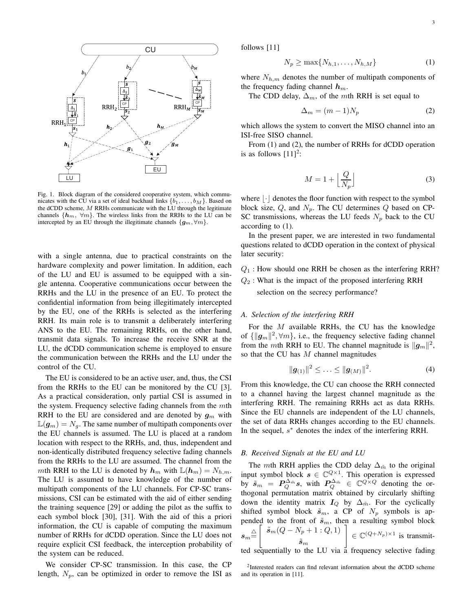

Fig. 1. Block diagram of the considered cooperative system, which communicates with the CU via a set of ideal backhaul links  $\{b_1, \ldots, b_M\}$ . Based on the dCDD scheme, M RRHs communicate with the LU through the legitimate channels  $\{h_m, \forall m\}$ . The wireless links from the RRHs to the LU can be intercepted by an EU through the illegitimate channels  ${g_m, \forall m}$ .

with a single antenna, due to practical constraints on the hardware complexity and power limitation. In addition, each of the LU and EU is assumed to be equipped with a single antenna. Cooperative communications occur between the RRHs and the LU in the presence of an EU. To protect the confidential information from being illegitimately intercepted by the EU, one of the RRHs is selected as the interfering RRH. Its main role is to transmit a deliberately interfering ANS to the EU. The remaining RRHs, on the other hand, transmit data signals. To increase the receive SNR at the LU, the dCDD communication scheme is employed to ensure the communication between the RRHs and the LU under the control of the CU.

The EU is considered to be an active user, and, thus, the CSI from the RRHs to the EU can be monitored by the CU [3]. As a practical consideration, only partial CSI is assumed in the system. Frequency selective fading channels from the  $m$ th RRH to the EU are considered and are denoted by  $g_m$  with  $\mathbb{L}(\mathbf{g}_m) = N_g$ . The same number of multipath components over the EU channels is assumed. The LU is placed at a random location with respect to the RRHs, and, thus, independent and non-identically distributed frequency selective fading channels from the RRHs to the LU are assumed. The channel from the mth RRH to the LU is denoted by  $h_m$  with  $\mathbb{L}(h_m) = N_{h,m}$ . The LU is assumed to have knowledge of the number of multipath components of the LU channels. For CP-SC transmissions, CSI can be estimated with the aid of either sending the training sequence [29] or adding the pilot as the suffix to each symbol block [30], [31]. With the aid of this a priori information, the CU is capable of computing the maximum number of RRHs for dCDD operation. Since the LU does not require explicit CSI feedback, the interception probability of the system can be reduced.

We consider CP-SC transmission. In this case, the CP length,  $N_p$ , can be optimized in order to remove the ISI as follows [11]

$$
N_p \ge \max\{N_{h,1}, \dots, N_{h,M}\}\tag{1}
$$

where  $N_{h,m}$  denotes the number of multipath components of the frequency fading channel  $h_m$ .

The CDD delay,  $\Delta_m$ , of the mth RRH is set equal to

$$
\Delta_m = (m-1)N_p \tag{2}
$$

which allows the system to convert the MISO channel into an ISI-free SISO channel.

From (1) and (2), the number of RRHs for dCDD operation is as follows  $[11]^{2}$ :

$$
M = 1 + \left\lfloor \frac{Q}{N_p} \right\rfloor \tag{3}
$$

where  $|\cdot|$  denotes the floor function with respect to the symbol block size,  $Q$ , and  $N_p$ . The CU determines  $Q$  based on CP-SC transmissions, whereas the LU feeds  $N_p$  back to the CU according to (1).

In the present paper, we are interested in two fundamental questions related to dCDD operation in the context of physical later security:

 $Q_1$ : How should one RRH be chosen as the interfering RRH?

 $Q_2$ : What is the impact of the proposed interfering RRH selection on the secrecy performance?

# *A. Selection of the interfering RRH*

For the M available RRHs, the CU has the knowledge of  $\{\Vert \mathbf{g}_m \Vert^2, \forall m\}$ , i.e., the frequency selective fading channel from the *m*th RRH to EU. The channel magnitude is  $||g_m||^2$ , so that the CU has  $M$  channel magnitudes

$$
\|\bm{g}_{(1)}\|^2 \leq \ldots \leq \|\bm{g}_{(M)}\|^2. \tag{4}
$$

From this knowledge, the CU can choose the RRH connected to a channel having the largest channel magnitude as the interfering RRH. The remaining RRHs act as data RRHs. Since the EU channels are independent of the LU channels, the set of data RRHs changes according to the EU channels. In the sequel,  $s^*$  denotes the index of the interfering RRH.

#### *B. Received Signals at the EU and LU*

The *mth* RRH applies the CDD delay  $\Delta_{\tilde{m}}$  to the original input symbol block  $s \in \mathbb{C}^{Q \times 1}$ . This operation is expressed by  $\tilde{s}_m = P_Q^{\Delta_{\tilde{m}}} s$ , with  $P_Q^{\Delta_{\tilde{m}}} \in \mathbb{C}^{Q \times Q}$  denoting the orthogonal permutation matrix obtained by circularly shifting down the identity matrix  $I_Q$  by  $\Delta_{\tilde{m}}$ . For the cyclically shifted symbol block  $\tilde{s}_m$ , a CP of  $N_p$  symbols is appended to the front of  $\tilde{s}_m$ , then a resulting symbol block  $s_m \! \triangleq \!$  $\int \tilde{s}_m(Q-N_p+1:Q,1)$  $\tilde{s}_m$ 1  $\in \mathbb{C}^{(Q+N_p)\times 1}$  is transmit-

ted sequentially to the LU via a frequency selective fading

<sup>&</sup>lt;sup>2</sup>Interested readers can find relevant information about the dCDD scheme and its operation in [11].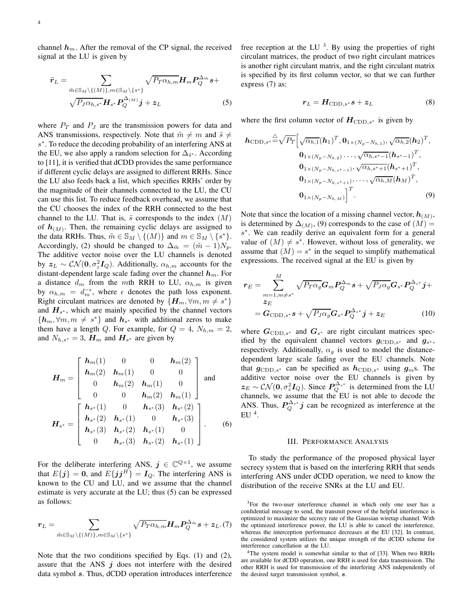channel  $h_m$ . After the removal of the CP signal, the received signal at the LU is given by

$$
\tilde{r}_L = \sum_{\tilde{m} \in \mathbb{S}_M \backslash \{(M)\}, m \in \mathbb{S}_M \backslash \{s^*\}} \sqrt{P_T \alpha_{h,m}} \mathbf{H}_m \mathbf{P}_Q^{\Delta_{\tilde{m}}} s + \sqrt{P_J \alpha_{h,s^*}} \mathbf{H}_{s^*} \mathbf{P}_Q^{\Delta(M)} j + z_L
$$
\n(5)

where  $P_T$  and  $P_J$  are the transmission powers for data and ANS transmissions, respectively. Note that  $\tilde{m} \neq m$  and  $\tilde{s} \neq$ s ∗ . To reduce the decoding probability of an interfering ANS at the EU, we also apply a random selection for  $\Delta_{\tilde{s}^*}$ . According to [11], it is verified that dCDD provides the same performance if different cyclic delays are assigned to different RRHs. Since the LU also feeds back a list, which specifies RRHs' order by the magnitude of their channels connected to the LU, the CU can use this list. To reduce feedback overhead, we assume that the CU chooses the index of the RRH connected to the best channel to the LU. That is,  $\tilde{s}$  corresponds to the index  $(M)$ of  $h_{(M)}$ . Then, the remaining cyclic delays are assigned to the data RRHs. Thus,  $\tilde{m} \in \mathbb{S}_M \setminus \{(M)\}\$  and  $m \in \mathbb{S}_M \setminus \{s^*\}.$ Accordingly, (2) should be changed to  $\Delta_{\tilde{m}} = (\tilde{m} - 1)N_p$ . The additive vector noise over the LU channels is denoted by  $z_L \sim \mathcal{CN}(\mathbf{0}, \sigma_z^2 \mathbf{I}_Q)$ . Additionally,  $\alpha_{h,m}$  accounts for the distant-dependent large scale fading over the channel  $h_m$ . For a distance  $d_m$  from the mth RRH to LU,  $\alpha_{h,m}$  is given by  $\alpha_{h,m} = d_m^{-\epsilon}$ , where  $\epsilon$  denotes the path loss exponent. Right circulant matrices are denoted by  $\{H_m, \forall m, m \neq s^*\}$ and  $H_{s*}$ , which are mainly specified by the channel vectors  ${h_m, \forall m, m \neq s^*}$  and  $h_{s^*}$  with additional zeros to make them have a length Q. For example, for  $Q = 4$ ,  $N_{h,m} = 2$ , and  $N_{h,s^*} = 3$ ,  $H_m$  and  $H_{s^*}$  are given by

$$
H_m = \begin{bmatrix} h_m(1) & 0 & 0 & h_m(2) \\ h_m(2) & h_m(1) & 0 & 0 \\ 0 & h_m(2) & h_m(1) & 0 \\ 0 & 0 & h_m(2) & h_m(1) \end{bmatrix} \text{ and }
$$
  

$$
H_{s^*} = \begin{bmatrix} h_{s^*}(1) & 0 & h_{s^*}(3) & h_{s^*}(2) \\ h_{s^*}(2) & h_{s^*}(1) & 0 & h_{s^*}(3) \\ h_{s^*}(3) & h_{s^*}(2) & h_{s^*}(1) & 0 \\ 0 & h_{s^*}(3) & h_{s^*}(2) & h_{s^*}(1) \end{bmatrix}.
$$
 (6)

For the deliberate interfering ANS,  $j \in \mathbb{C}^{Q \times 1}$ , we assume that  $E\{j\} = 0$ , and  $E\{jj^H\} = I_Q$ . The interfering ANS is known to the CU and LU, and we assume that the channel estimate is very accurate at the LU; thus (5) can be expressed as follows:

$$
\bm{r}_L = \sum_{\tilde{m} \in \mathbb{S}_M \setminus \{(M)\}, m \in \mathbb{S}_M \setminus \{s^*\}} \sqrt{P_T \alpha_{h,m}} \bm{H}_m \bm{P}_Q^{\Delta_{\tilde{m}}} \bm{s} + \bm{z}_L. (7)
$$

Note that the two conditions specified by Eqs. (1) and (2), assure that the ANS  $j$  does not interfere with the desired data symbol s. Thus, dCDD operation introduces interference

free reception at the LU  $^3$ . By using the properties of right circulant matrices, the product of two right circulant matrices is another right circulant matrix, and the right circulant matrix is specified by its first column vector, so that we can further express (7) as:

$$
r_L = H_{\text{CDD},s^*} s + z_L \tag{8}
$$

where the first column vector of  $H_{\text{CDD},s^*}$  is given by

$$
\boldsymbol{h}_{\text{CDD},s^{*}} \stackrel{\triangle}{=} \sqrt{P_{T}} \Big[ \sqrt{\alpha_{h,1}} (\boldsymbol{h}_{1})^{T}, \boldsymbol{0}_{1 \times (N_{p} - N_{h,1})}, \sqrt{\alpha_{h,2}} (\boldsymbol{h}_{2})^{T},
$$
\n
$$
\boldsymbol{0}_{1 \times (N_{p} - N_{h,2})}, \dots, \sqrt{\alpha_{h,s^{*}-1}} (\boldsymbol{h}_{s^{*}-1})^{T},
$$
\n
$$
\boldsymbol{0}_{1 \times (N_{p} - N_{h,s^{*}-1})}, \sqrt{\alpha_{h,s^{*}+1}} (\boldsymbol{h}_{s^{*}+1})^{T},
$$
\n
$$
\boldsymbol{0}_{1 \times (N_{p} - N_{h,s^{*}+1})}, \dots, \sqrt{\alpha_{h,M}} (\boldsymbol{h}_{M})^{T},
$$
\n
$$
\boldsymbol{0}_{1 \times (N_{p} - N_{h,M})} \Big]^{T}.
$$
\n(9)

Note that since the location of a missing channel vector,  $h_{(M)}$ , is determined by  $\Delta_{(M)}$ , (9) corresponds to the case of  $(M)$  = s ∗ . We can readily derive an equivalent form for a general value of  $(M) \neq s^*$ . However, without loss of generality, we assume that  $(M) = s^*$  in the sequel to simplify mathematical expressions. The received signal at the EU is given by

$$
\boldsymbol{r}_{E} = \sum_{\substack{m=1,m\neq s^{*} \\ \boldsymbol{z}_{E}}}^{M} \sqrt{P_{T}\alpha_{g}} \boldsymbol{G}_{m} \boldsymbol{P}_{Q}^{\Delta_{m}} \boldsymbol{s} + \sqrt{P_{J}\alpha_{g}} \boldsymbol{G}_{s^{*}} \boldsymbol{P}_{Q}^{\Delta_{s^{*}}} \boldsymbol{j} + \boldsymbol{z}_{E}
$$
\n
$$
= \boldsymbol{G}_{\text{CDD},s^{*}} \boldsymbol{s} + \sqrt{P_{J}\alpha_{g}} \boldsymbol{G}_{s^{*}} \boldsymbol{P}_{Q}^{\Delta_{s^{*}}} \boldsymbol{j} + \boldsymbol{z}_{E} \tag{10}
$$

where  $G_{\text{CDD},s^*}$  and  $G_{s^*}$  are right circulant matrices specified by the equivalent channel vectors  $g_{\text{CDD},s^*}$  and  $g_{s^*}$ , respectively. Additionally,  $\alpha_q$  is used to model the distancedependent large scale fading over the EU channels. Note that  $g_{\text{CDD},s^*}$  can be specified as  $h_{\text{CDD},s^*}$  using  $g_m$ s. The additive vector noise over the EU channels is given by  $z_E \sim \mathcal{CN}(\mathbf{0}, \sigma_z^2 \mathbf{I}_Q)$ . Since  $P_Q^{\Delta_{s^*}}$  is determined from the LU channels, we assume that the EU is not able to decode the ANS. Thus,  $P_Q^{\Delta_{s^*}}j$  can be recognized as interference at the  $EU^4$ .

#### III. PERFORMANCE ANALYSIS

To study the performance of the proposed physical layer secrecy system that is based on the interfering RRH that sends interfering ANS under dCDD operation, we need to know the distribution of the receive SNRs at the LU and EU.

 $3$ For the two-user interference channel in which only one user has a confidential message to send, the transmit power of the helpful interference is optimized to maximize the secrecy rate of the Gaussian wiretap channel. With the optimized interference power, the LU is able to cancel the interference, whereas the interception performance decreases at the EU [32]. In contrast, the considered system utilizes the unique strength of the dCDD scheme for interference cancellation at the LU.

<sup>&</sup>lt;sup>4</sup>The system model is somewhat similar to that of [33]. When two RRHs are available for dCDD operation, one RRH is used for data transmission. The other RRH is used for transmission of the interfering ANS independently of the desired target transmission symbol, s.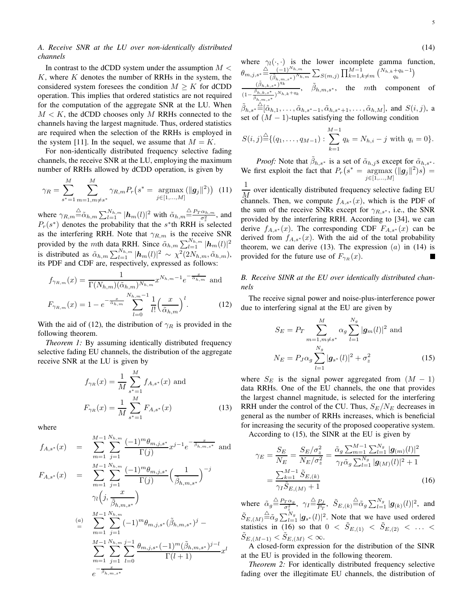# *A. Receive SNR at the LU over non-identically distributed channels*

In contrast to the dCDD system under the assumption  $M <$  $K$ , where  $K$  denotes the number of RRHs in the system, the considered system foresees the condition  $M \geq K$  for dCDD operation. This implies that ordered statistics are not required for the computation of the aggregate SNR at the LU. When  $M < K$ , the dCDD chooses only M RRHs connected to the channels having the largest magnitude. Thus, ordered statistics are required when the selection of the RRHs is employed in the system [11]. In the sequel, we assume that  $M = K$ .

For non-identically distributed frequency selective fading channels, the receive SNR at the LU, employing the maximum number of RRHs allowed by dCDD operation, is given by

$$
\gamma_R = \sum_{s^* = 1}^M \sum_{m=1, m \neq s^*}^M \gamma_{R,m} P_r(s^* = \operatorname*{argmax}_{j \in [1, ..., M]} (\|\mathbf{g}_j\|^2)) \tag{11}
$$

where  $\gamma_{R,m} \triangleq \tilde{\alpha}_{h,m} \sum_{l=1}^{N_{h,m}} |\mathbf{h}_m(l)|^2$  with  $\tilde{\alpha}_{h,m} \triangleq \frac{P_T \alpha_{h,m}}{\sigma_z^2}$ , and  $P_r(s^*)$  denotes the probability that the s<sup>\*</sup>th RRH is selected as the interfering RRH. Note that  $\gamma_{R,m}$  is the receive SNR provided by the mth data RRH. Since  $\tilde{\alpha}_{h,m} \sum_{l=1}^{N_{h,m}} |\mathbf{h}_m(l)|^2$ is distributed as  $\tilde{\alpha}_{h,m} \sum_{l=1}^{N_{h,m}} |\boldsymbol{h}_m(l)|^2 \sim \chi^2(2N_{h,m}, \tilde{\alpha}_{h,m}),$ its PDF and CDF are, respectively, expressed as follows:

$$
f_{\gamma_{R,m}}(x) = \frac{1}{\Gamma(N_{h,m})(\tilde{\alpha}_{h,m})^{N_{h,m}}} x^{N_{h,m}-1} e^{-\frac{x}{\tilde{\alpha}_{h,m}}}
$$
 and  

$$
F_{\gamma_{R,m}}(x) = 1 - e^{-\frac{x}{\tilde{\alpha}_{h,m}}} \sum_{l=0}^{N_{h,m}-1} \frac{1}{l!} \left(\frac{x}{\tilde{\alpha}_{h,m}}\right)^l.
$$
 (12)

With the aid of (12), the distribution of  $\gamma_R$  is provided in the following theorem.

*Theorem 1:* By assuming identically distributed frequency selective fading EU channels, the distribution of the aggregate receive SNR at the LU is given by

$$
f_{\gamma_R}(x) = \frac{1}{M} \sum_{s^* = 1}^{M} f_{A, s^*}(x) \text{ and}
$$

$$
F_{\gamma_R}(x) = \frac{1}{M} \sum_{s^* = 1}^{M} F_{A, s^*}(x) \tag{13}
$$

where

$$
f_{A,s^*}(x) = \sum_{m=1}^{M-1} \sum_{j=1}^{N_{h,m}} \frac{(-1)^m \theta_{m,j,s^*}}{\Gamma(j)} x^{j-1} e^{-\frac{x}{\beta_{h,m,s^*}}} \text{ and}
$$
  
\n
$$
F_{A,s^*}(x) = \sum_{m=1}^{M-1} \sum_{j=1}^{N_{h,m}} \frac{(-1)^m \theta_{m,j,s^*}}{\Gamma(j)} \left(\frac{1}{\tilde{\beta}_{h,m,s^*}}\right)^{-j}
$$
  
\n
$$
\gamma_l\left(j, \frac{x}{\tilde{\beta}_{h,m,s^*}}\right)
$$
  
\n(a) 
$$
\sum_{m=1}^{M-1} \sum_{j=1}^{N_{h,m}} (-1)^m \theta_{m,j,s^*} (\tilde{\beta}_{h,m,s^*})^j - \sum_{m=1}^{M-1} \sum_{j=1}^{N_{h,m}} \sum_{l=0}^{N-1} \frac{\theta_{m,j,s^*} (-1)^m (\tilde{\beta}_{h,m,s^*})^{j-l}}{\Gamma(l+1)} x^l
$$
  
\n
$$
e^{-\frac{x}{\beta_{h,m,s^*}}}
$$

$$
(14)
$$

where 
$$
\gamma_l(\cdot,\cdot)
$$
 is the lower incomplete gamma function,  $\theta_{m,j,s^*} \stackrel{\triangle}{=} \frac{(-1)^{N_{h,m}}}{(\tilde{\beta}_{h,m,s^*})^{N_{h,m}}} \sum_{S(m,j)} \prod_{k=1, k \neq m}^{M-1} {N_{h,k} + q_k - 1 \choose q_k}$   $\frac{(\tilde{\beta}_{h,k,s^*})^{q_k}}{(1 - \frac{\tilde{\beta}_{h,k,s^*}}{\tilde{\beta}_{h,m,s^*}})^{N_{h,k} + q_k}}, \quad \tilde{\beta}_{h,m,s^*}$ , the *m*th component of

 $\tilde{\beta}_{h,s^*} \triangleq [\tilde{\alpha}_{h,1}, \ldots, \tilde{\alpha}_{h,s^*-1}, \tilde{\alpha}_{h,s^*+1}, \ldots, \tilde{\alpha}_{h,M}],$  and  $S(i,j)$ , a set of  $(M - 1)$ -tuples satisfying the following condition

$$
S(i,j) \stackrel{\triangle}{=} \{ (q_1, \ldots, q_{M-1}) : \sum_{k=1}^{M-1} q_k = N_{h,i} - j \text{ with } q_i = 0 \}.
$$

*Proof:* Note that  $\tilde{\beta}_{h,s^*}$  is a set of  $\tilde{\alpha}_{h,j}$ s except for  $\tilde{\alpha}_{h,s^*}$ . We first exploit the fact that  $P_r(s^* = \text{argmax})$  $\mathop{\mathrm{argmax}}_{j \in [1,...,M]} (\|\boldsymbol{g}_j\|^2) s) =$ 

1  $\overline{M}$  over identically distributed frequency selective fading EU channels. Then, we compute  $f_{A,s^*}(x)$ , which is the PDF of the sum of the receive SNRs except for  $\gamma_{R,s^*}$ , i.e., the SNR provided by the interfering RRH. According to [34], we can derive  $f_{A,s^*}(x)$ . The corresponding CDF  $F_{A,s^*}(x)$  can be derived from  $f_{A,s^*}(x)$ . With the aid of the total probability theorem, we can derive  $(13)$ . The expression  $(a)$  in  $(14)$  is provided for the future use of  $F_{\gamma_R}(x)$ .

# *B. Receive SINR at the EU over identically distributed channels*

The receive signal power and noise-plus-interference power due to interfering signal at the EU are given by

$$
S_E = P_T \sum_{m=1, m \neq s^*}^{M} \alpha_g \sum_{l=1}^{N_g} |\mathbf{g}_m(l)|^2 \text{ and}
$$

$$
N_E = P_J \alpha_g \sum_{l=1}^{N_g} |\mathbf{g}_{s^*}(l)|^2 + \sigma_z^2
$$
(15)

where  $S_E$  is the signal power aggregated from  $(M - 1)$ data RRHs. One of the EU channels, the one that provides the largest channel magnitude, is selected for the interfering RRH under the control of the CU. Thus,  $S_E/N_E$  decreases in general as the number of RRHs increases, which is beneficial for increasing the security of the proposed cooperative system. According to (15), the SINR at the EU is given by

 $\gamma_E = \frac{S_E}{N} = \frac{S_E/\sigma_z^2}{N}$  $\frac{S_E/\sigma_z^2}{N_E/\sigma_z^2} = \frac{\tilde{\alpha}_g \sum_{m=1}^{M-1} \sum_{l=1}^{N_g} |\bm{g}_{(m)}(l)|^2}{\gamma_l \tilde{\alpha}_g \sum_{l=1}^{N_g} |\bm{g}_{(M)}(l)|^2 + 1}$ 

$$
E = N_E - N_E / \sigma_z^2 = \gamma_I \tilde{\alpha}_g \sum_{l=1}^{N_g} |\mathbf{g}(M)}(l)|^2 + 1
$$
  
= 
$$
\frac{\sum_{k=1}^{M-1} \tilde{S}_{E,(k)}}{\gamma_I \tilde{S}_{E,(M)} + 1}
$$
(16)

where  $\tilde{\alpha}_g \triangleq \frac{P_T \alpha_g}{\sigma_z^2}$ ,  $\gamma_I \triangleq \frac{P_J}{P_T}$ ,  $\tilde{S}_{E,(k)} \triangleq \tilde{\alpha}_g \sum_{l=1}^{N_g} |\mathbf{g}_{(k)}(l)|^2$ , and  $\tilde{S}_{E,(M)} \triangleq \tilde{\alpha}_g \sum_{l=1}^{N_g} |\mathbf{g}_{s^*}(l)|^2$ . Note that we have used ordered statistics in (16) so that  $0 < \tilde{S}_{E,(1)} < \tilde{S}_{E,(2)} < \ldots <$  $S_{E,(M-1)} < S_{E,(M)} < \infty.$ 

A closed-form expression for the distribution of the SINR at the EU is provided in the following theorem.

*Theorem 2:* For identically distributed frequency selective fading over the illegitimate EU channels, the distribution of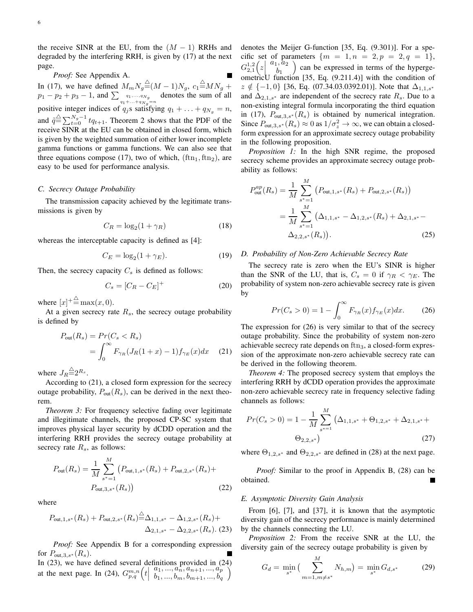the receive SINR at the EU, from the  $(M - 1)$  RRHs and degraded by the interfering RRH, is given by (17) at the next page.

*Proof:* See Appendix A. In (17), we have defined  $M_m N_g \triangleq (M-1)N_g$ ,  $c_1 \triangleq M N_g$  +  $p_1 - p_2 + p_3 - 1$ , and  $\sum_{q_1 + \dots + q_{N_g} = n} q$  denotes the sum of all positive integer indices of  $q_j$ s satisfying  $q_1 + \ldots + q_{N_g} = n$ , and  $\tilde{q} \triangleq \sum_{t=0}^{N_g-1} t q_{t+1}$ . Theorem 2 shows that the PDF of the receive SINR at the EU can be obtained in closed form, which

is given by the weighted summation of either lower incomplete gamma functions or gamma functions. We can also see that three equations compose (17), two of which,  $(f_{t n_1}, f_{t n_2})$ , are easy to be used for performance analysis.

# *C. Secrecy Outage Probability*

The transmission capacity achieved by the legitimate transmissions is given by

$$
C_R = \log_2(1 + \gamma_R) \tag{18}
$$

whereas the interceptable capacity is defined as [4]:

$$
C_E = \log_2(1 + \gamma_E). \tag{19}
$$

Then, the secrecy capacity  $C_s$  is defined as follows:

$$
C_s = [C_R - C_E]^+\tag{20}
$$

where  $[x]^+ \stackrel{\triangle}{=} \max(x, 0)$ .

At a given secrecy rate  $R_s$ , the secrecy outage probability is defined by

$$
P_{\text{out}}(R_s) = Pr(C_s < R_s)
$$
\n
$$
= \int_0^\infty F_{\gamma_R}(J_R(1+x) - 1) f_{\gamma_E}(x) dx \quad (21)
$$

where  $J_R \stackrel{\triangle}{=} 2^{R_s}$ .

According to (21), a closed form expression for the secrecy outage probability,  $P_{\text{out}}(R_s)$ , can be derived in the next theorem.

*Theorem 3:* For frequency selective fading over legitimate and illegitimate channels, the proposed CP-SC system that improves physical layer security by dCDD operation and the interfering RRH provides the secrecy outage probability at secrecy rate  $R_s$ , as follows:

$$
P_{\text{out}}(R_s) = \frac{1}{M} \sum_{s^* = 1}^{M} (P_{\text{out},1,s^*}(R_s) + P_{\text{out},2,s^*}(R_s) + P_{\text{out},3,s^*}(R_s))
$$
\n
$$
(22)
$$

where

$$
P_{\text{out},1,s^*}(R_s) + P_{\text{out},2,s^*}(R_s) \stackrel{\triangle}{=} \Delta_{1,1,s^*} - \Delta_{1,2,s^*}(R_s) +
$$
  

$$
\Delta_{2,1,s^*} - \Delta_{2,2,s^*}(R_s). \tag{23}
$$

*Proof:* See Appendix B for a corresponding expression for  $P_{\text{out},3,s^*}(R_s)$ .

In (23), we have defined several definitions provided in (24) at the next page. In (24),  $G_{p,q}^{m,n}(t)$  $a_1, ..., a_n, a_{n+1}, ..., a_p$  $b_1, ..., b_m, b_{m+1}, ..., b_q$ Í denotes the Meijer G-function [35, Eq. (9.301)]. For a specific set of parameters  $\{m = 1, n = 2, p = 2, q = 1\},\$  $G_{2,1}^{1,2}(z)$   $a_1, a_2$  $\frac{1}{2,1}$  ( $\begin{bmatrix} b_1 \\ c_2 \end{bmatrix}$ ,  $\begin{bmatrix} b_1 \\ c_2 \end{bmatrix}$  can be expressed in terms of the hypergetime.  $b_1$  can be expressed in terms of the hyperge $z \notin \{-1, 0\}$  [36, Eq. (07.34.03.0392.01)]. Note that  $\Delta_{1,1,s^*}$ and  $\Delta_{2,1,s^*}$  are independent of the secrecy rate  $R_s$ . Due to a non-existing integral formula incorporating the third equation in (17),  $P_{\text{out},3,s^*}(R_s)$  is obtained by numerical integration. Since  $P_{\text{out},3,s^*}(R_s) \approx 0$  as  $1/\sigma_z^2 \rightarrow \infty$ , we can obtain a closedform expression for an approximate secrecy outage probability in the following proposition.

*Proposition 1:* In the high SNR regime, the proposed secrecy scheme provides an approximate secrecy outage probability as follows:

$$
P_{\text{out}}^{ap}(R_s) = \frac{1}{M} \sum_{s^* = 1}^{M} \left( P_{\text{out},1,s^*}(R_s) + P_{\text{out},2,s^*}(R_s) \right)
$$
  
= 
$$
\frac{1}{M} \sum_{s^* = 1}^{M} \left( \Delta_{1,1,s^*} - \Delta_{1,2,s^*}(R_s) + \Delta_{2,1,s^*} - \Delta_{2,2,s^*}(R_s) \right).
$$
 (25)

# *D. Probability of Non-Zero Achievable Secrecy Rate*

The secrecy rate is zero when the EU's SINR is higher than the SNR of the LU, that is,  $C_s = 0$  if  $\gamma_R < \gamma_E$ . The probability of system non-zero achievable secrecy rate is given by

$$
Pr(C_s > 0) = 1 - \int_0^\infty F_{\gamma_R}(x) f_{\gamma_E}(x) dx.
$$
 (26)

The expression for (26) is very similar to that of the secrecy outage probability. Since the probability of system non-zero achievable secrecy rate depends on  $f_{13}$ , a closed-form expression of the approximate non-zero achievable secrecy rate can be derived in the following theorem.

*Theorem 4:* The proposed secrecy system that employs the interfering RRH by dCDD operation provides the approximate non-zero achievable secrecy rate in frequency selective fading channels as follows:

$$
Pr(C_s > 0) = 1 - \frac{1}{M} \sum_{s^{*}=1}^{M} (\Delta_{1,1,s^{*}} + \Theta_{1,2,s^{*}} + \Delta_{2,1,s^{*}} + \Theta_{2,2,s^{*}})
$$
\n
$$
(27)
$$

where  $\Theta_{1,2,s^*}$  and  $\Theta_{2,2,s^*}$  are defined in (28) at the next page.

*Proof:* Similar to the proof in Appendix B, (28) can be obtained.

#### *E. Asymptotic Diversity Gain Analysis*

From [6], [7], and [37], it is known that the asymptotic diversity gain of the secrecy performance is mainly determined by the channels connecting the LU.

*Proposition 2:* From the receive SNR at the LU, the diversity gain of the secrecy outage probability is given by

$$
G_d = \min_{s^*} \left( \sum_{m=1, m \neq s^*}^M N_{h,m} \right) = \min_{s^*} G_{d,s^*} \tag{29}
$$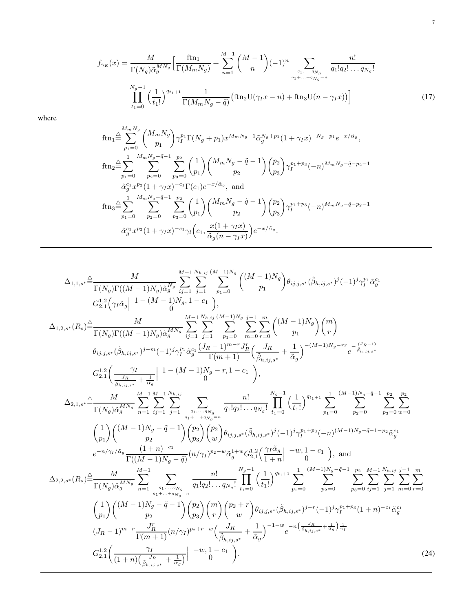$$
f_{\gamma_E}(x) = \frac{M}{\Gamma(N_g)\tilde{\alpha}_g^{MN_g}} \Big[ \frac{\text{ftn}_1}{\Gamma(M_m N_g)} + \sum_{n=1}^{M-1} {M-1 \choose n} (-1)^n \sum_{\substack{q_1, \dots, q_{N_g} \\ q_1 + \dots + q_{N_g} = n}} \frac{n!}{q_1! q_2! \dots q_{N_g}!}
$$

$$
\prod_{t_1=0}^{N_g-1} \left(\frac{1}{t_1!}\right)^{q_{t_1+1}} \frac{1}{\Gamma(M_m N_g - \tilde{q})} \big( \text{ftn}_2 \text{U}(\gamma_I x - n) + \text{ftn}_3 \text{U}(n - \gamma_I x) \big) \Big]
$$
(17)

where

$$
\begin{split} \text{ftn}_1 &\overset{\triangle}{=} \sum_{p_1=0}^{M_m N_g} \binom{M_m N_g}{p_1} \gamma_I^{p_1} \Gamma(N_g + p_1) x^{M_m N_g - 1} \tilde{\alpha}_g^{N_g + p_1} (1 + \gamma_I x)^{-N_g - p_1} e^{-x/\tilde{\alpha}_g}, \\ \text{ftn}_2 &\overset{\triangle}{=} \sum_{p_1=0}^1 \sum_{p_2=0}^{M_m N_g - \tilde{q} - 1} \sum_{p_3=0}^{p_2} \binom{1}{p_1} \binom{M_m N_g - \tilde{q} - 1}{p_2} \binom{p_2}{p_3} \gamma_I^{p_1 + p_3} (-n)^{M_m N_g - \tilde{q} - p_2 - 1} \\ &\qquad \tilde{\alpha}_g^{c_1} x^{p_2} (1 + \gamma_I x)^{-c_1} \Gamma(c_1) e^{-x/\tilde{\alpha}_g}, \text{ and} \\ \text{ftn}_3 &\overset{\triangle}{=} \sum_{p_1=0}^1 \sum_{p_2=0}^{M_m N_g - \tilde{q} - 1} \sum_{p_3=0}^{p_2} \binom{1}{p_1} \binom{M_m N_g - \tilde{q} - 1}{p_2} \binom{p_2}{p_3} \gamma_I^{p_1 + p_3} (-n)^{M_m N_g - \tilde{q} - p_2 - 1} \\ &\qquad \tilde{\alpha}_g^{c_1} x^{p_2} (1 + \gamma_I x)^{-c_1} \gamma_l \left(c_1, \frac{x(1 + \gamma_I x)}{\tilde{\alpha}_g (n - \gamma_I x)}\right) e^{-x/\tilde{\alpha}_g}. \end{split}
$$

$$
\Delta_{1,1,s^{*}} \dfrac{\triangle_{1,1,s^{*}} \dfrac{M}{\Gamma(N_{g})\Gamma((M-1)N_{g}) \tilde{\alpha}_{s}^{N_{g}}} \sum_{ij=1}^{M-1} \sum_{j=1}^{N_{h+ij}} \sum_{p_1=0}^{(M-1)N_{g}} \binom{(M-1)N_{g}}{p_{ij,j,s^{*}}(\tilde{\beta}_{h,ij,s^{*}})^{j}(-1)^{j} \gamma_{I}^{p_1} \tilde{\alpha}_{g}^{c_1}} \zeta_{1}^{2} \zeta_{2}^{2} \zeta_{3}^{2} \zeta_{4}^{2} \zeta_{5}^{2} \zeta_{6}^{2} \zeta_{7}^{2} \zeta_{8}^{2} \zeta_{9}^{2} \zeta_{1}^{2} \zeta_{1}^{2} \zeta_{1}^{2} \zeta_{1}^{2} \zeta_{1}^{2} \zeta_{1}^{2} \zeta_{1}^{2} \zeta_{1}^{2} \zeta_{1}^{2} \zeta_{1}^{2} \zeta_{1}^{2} \zeta_{1}^{2} \zeta_{1}^{2} \zeta_{1}^{2} \zeta_{1}^{2} \zeta_{1}^{2} \zeta_{1}^{2} \zeta_{1}^{2} \zeta_{1}^{2} \zeta_{1}^{2} \zeta_{1}^{2} \zeta_{1}^{2} \zeta_{1}^{2} \zeta_{1}^{2} \zeta_{1}^{2} \zeta_{1}^{2} \zeta_{1}^{2} \zeta_{1}^{2} \zeta_{1}^{2} \zeta_{1}^{2} \zeta_{1}^{2} \zeta_{1}^{2} \zeta_{1}^{2} \zeta_{1}^{2} \zeta_{1}^{2} \zeta_{1}^{2} \zeta_{1}^{2} \zeta_{1}^{2} \zeta_{1}^{2} \zeta_{1}^{2} \zeta_{1}^{2} \zeta_{1}^{2} \zeta_{1}^{2} \zeta_{1}^{2} \zeta_{1}^{2} \zeta_{1}^{2} \zeta_{1}^{2} \zeta_{1}^{2} \zeta_{1}^{2} \zeta_{1}^{2} \zeta_{1}^{2} \zeta_{1}^{2} \zeta_{1}^{2} \zeta_{1}^{2} \zeta_{1}^{2} \zeta_{1}^{2} \zeta_{
$$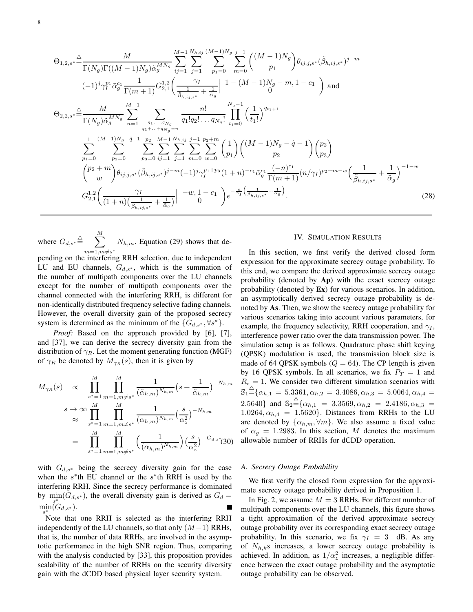$$
\Theta_{1,2,s^{*}} \stackrel{\triangle}{=} \frac{M}{\Gamma(N_{g})\Gamma((M-1)N_{g})\tilde{\alpha}_{g}^{MN_{g}}} \sum_{ij=1}^{M-1} \sum_{j=1}^{N_{h,ij}} \sum_{p_{1}=0}^{N-1} \sum_{m=0}^{N_{g}} \binom{(M-1)N_{g}}{p_{1}} \theta_{ij,j,s^{*}}(\tilde{\beta}_{h,ij,s^{*}})^{j-m}
$$
  
\n
$$
(-1)^{j} \gamma_{I}^{p_{1}} \tilde{\alpha}_{g}^{c_{1}} \frac{1}{\Gamma(m+1)} G_{2,1}^{1,2} \left( \frac{\gamma_{I}}{\frac{1}{\beta_{h,ij,s^{*}}} + \frac{1}{\tilde{\alpha}_{g}}}\right) \frac{1 - (M-1)N_{g} - m, 1 - c_{1}}{0} \right) \text{ and}
$$
  
\n
$$
\Theta_{2,2,s^{*}} \stackrel{\triangle}{=} \frac{M}{\Gamma(N_{g})\tilde{\alpha}_{g}^{MN_{g}}} \sum_{n=1}^{M-1} \sum_{q_{1},...,q_{N_{g}}=n} \frac{n!}{q_{1}!q_{2}! \cdots q_{N_{g}}!} \prod_{t_{1}=0}^{N_{g}-1} \left(\frac{1}{t_{1}!}\right)^{q_{t_{1}+1}}
$$
  
\n
$$
\sum_{p_{1}=0}^{1} \sum_{p_{2}=0}^{(M-1)N_{g}-\tilde{q}-1} \sum_{p_{3}=0}^{p_{2}} \sum_{ij=1}^{M-1} \sum_{j=1}^{N_{h,ij}} \sum_{m=0}^{j-1} \sum_{w=0}^{p_{2}+m} \binom{1}{p_{1}} \binom{(M-1)N_{g}-\tilde{q}-1}{p_{2}} \binom{p_{2}}{p_{3}}
$$
  
\n
$$
\binom{p_{2}+m}{w} \theta_{ij,j,s^{*}}(\tilde{\beta}_{h,ij,s^{*}})^{j-m}(-1)^{j} \gamma_{I}^{p_{1}+p_{3}}(1+n)^{-c_{1}} \tilde{\alpha}_{g}^{c_{1}} \frac{(-n)^{c_{1}}}{\Gamma(m+1)} (n/\gamma_{I})^{p_{2}+m-w} \left(\frac{1}{\tilde{\beta}_{h,ij,s^{*}}}+\frac{1}{\tilde{\alpha}_{g}}\right)^
$$

where  $G_{d,s^*} \stackrel{\triangle}{=} \sum_{i=1}^M$  $\sum_{m=1,m\neq s^*} N_{h,m}$ . Equation (29) shows that de-

pending on the interfering RRH selection, due to independent LU and EU channels,  $G_{d,s^*}$ , which is the summation of the number of multipath components over the LU channels except for the number of multipath components over the channel connected with the interfering RRH, is different for non-identically distributed frequency selective fading channels. However, the overall diversity gain of the proposed secrecy system is determined as the minimum of the  $\{G_{d,s^*}, \forall s^*\}.$ 

*Proof:* Based on the approach provided by [6], [7], and [37], we can derive the secrecy diversity gain from the distribution of  $\gamma_R$ . Let the moment generating function (MGF) of  $\gamma_R$  be denoted by  $M_{\gamma_R}(s)$ , then it is given by

$$
M_{\gamma_R}(s) \propto \prod_{s^*=1}^{M} \prod_{m=1,m \neq s^*}^{M} \frac{1}{(\tilde{\alpha}_{h,m})^{N_{h,m}}} \left(s + \frac{1}{\tilde{\alpha}_{h,m}}\right)^{-N_{h,m}}
$$
  
\n
$$
\approx \prod_{s^*=1}^{M} \prod_{m=1,m \neq s^*}^{M} \frac{1}{(\alpha_{h,m})^{N_{h,m}}} \left(\frac{s}{\alpha_z^2}\right)^{-N_{h,m}}
$$
  
\n
$$
= \prod_{s^*=1}^{M} \prod_{m=1,m \neq s^*}^{M} \left(\frac{1}{(\alpha_{h,m})^{N_{h,m}}}\right) \left(\frac{s}{\alpha_z^2}\right)^{-G_{d,s^*}} (30)
$$

with  $G_{d,s^*}$  being the secrecy diversity gain for the case when the  $s^*$ th EU channel or the  $s^*$ th RRH is used by the interfering RRH. Since the secrecy performance is dominated by  $\min_{A} (G_{d,s^*})$ , the overall diversity gain is derived as  $G_d =$  $\min_{s^*} (G_{d,s^*}).$  $\blacksquare$ 

 $s^*$  Note that one RRH is selected as the interfering RRH independently of the LU channels, so that only  $(M-1)$  RRHs, that is, the number of data RRHs, are involved in the asymptotic performance in the high SNR region. Thus, comparing with the analysis conducted by [33], this proposition provides scalability of the number of RRHs on the security diversity gain with the dCDD based physical layer security system.

# IV. SIMULATION RESULTS

In this section, we first verify the derived closed form expression for the approximate secrecy outage probability. To this end, we compare the derived approximate secrecy outage probability (denoted by **Ap**) with the exact secrecy outage probability (denoted by **Ex**) for various scenarios. In addition, an asymptotically derived secrecy outage probability is denoted by **As**. Then, we show the secrecy outage probability for various scenarios taking into account various parameters, for example, the frequency selectivity, RRH cooperation, and  $\gamma_I$ , interference power ratio over the data transmission power. The simulation setup is as follows. Quadrature phase shift keying (QPSK) modulation is used, the transmission block size is made of 64 QPSK symbols ( $Q = 64$ ). The CP length is given by 16 QPSK symbols. In all scenarios, we fix  $P_T = 1$  and  $R_s = 1$ . We consider two different simulation scenarios with  $\mathbb{S}_1 \triangleq \{ \alpha_{h,1} = 5.3361, \alpha_{h,2} = 3.4086, \alpha_{h,3} = 5.0064, \alpha_{h,4} = 1\}$ 2.5640} and  $\mathbb{S}_2 \triangleq {\alpha_{h,1}} = 3.3569, \alpha_{h,2} = 2.4186, \alpha_{h,3} =$ 1.0264,  $\alpha_{h,4} = 1.5620$ . Distances from RRHs to the LU are denoted by  $\{\alpha_{h,m}, \forall m\}$ . We also assume a fixed value of  $\alpha_q = 1.2983$ . In this section, M denotes the maximum allowable number of RRHs for dCDD operation.

### *A. Secrecy Outage Probability*

We first verify the closed form expression for the approximate secrecy outage probability derived in Proposition 1.

In Fig. 2, we assume  $M = 3$  RRHs. For different number of multipath components over the LU channels, this figure shows a tight approximation of the derived approximate secrecy outage probability over its corresponding exact secrecy outage probability. In this scenario, we fix  $\gamma_I = 3$  dB. As any of  $N_{h,k}$ s increases, a lower secrecy outage probability is achieved. In addition, as  $1/\alpha_z^2$  increases, a negligible difference between the exact outage probability and the asymptotic outage probability can be observed.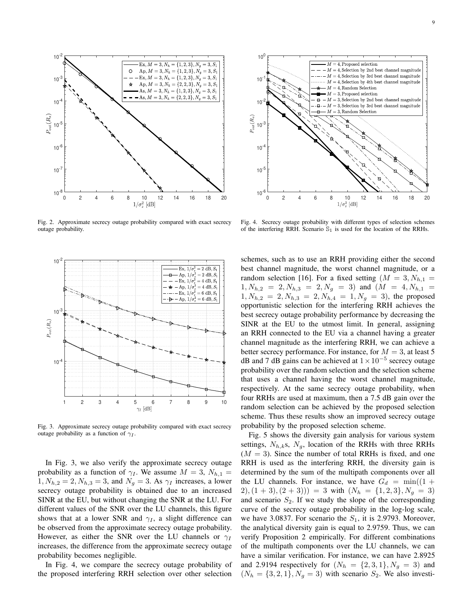

Fig. 2. Approximate secrecy outage probability compared with exact secrecy outage probability.



Fig. 3. Approximate secrecy outage probability compared with exact secrecy outage probability as a function of  $\gamma_I$ .

In Fig. 3, we also verify the approximate secrecy outage probability as a function of  $\gamma_I$ . We assume  $M = 3$ ,  $N_{h,1} =$  $1, N_{h,2} = 2, N_{h,3} = 3$ , and  $N_g = 3$ . As  $\gamma_I$  increases, a lower secrecy outage probability is obtained due to an increased SINR at the EU, but without changing the SNR at the LU. For different values of the SNR over the LU channels, this figure shows that at a lower SNR and  $\gamma_I$ , a slight difference can be observed from the approximate secrecy outage probability. However, as either the SNR over the LU channels or  $\gamma_I$ increases, the difference from the approximate secrecy outage probability becomes negligible.

In Fig. 4, we compare the secrecy outage probability of the proposed interfering RRH selection over other selection



Fig. 4. Secrecy outage probability with different types of selection schemes of the interfering RRH. Scenario  $\mathbb{S}_1$  is used for the location of the RRHs.

schemes, such as to use an RRH providing either the second best channel magnitude, the worst channel magnitude, or a random selection [16]. For a fixed setting  $(M = 3, N_{h,1})$  $1, N_{h,2} = 2, N_{h,3} = 2, N_g = 3)$  and  $(M = 4, N_{h,1}) =$  $1, N_{h,2} = 2, N_{h,3} = 2, N_{h,4} = 1, N_g = 3$ , the proposed opportunistic selection for the interfering RRH achieves the best secrecy outage probability performance by decreasing the SINR at the EU to the utmost limit. In general, assigning an RRH connected to the EU via a channel having a greater channel magnitude as the interfering RRH, we can achieve a better secrecy performance. For instance, for  $M = 3$ , at least 5 dB and 7 dB gains can be achieved at  $1 \times 10^{-5}$  secrecy outage probability over the random selection and the selection scheme that uses a channel having the worst channel magnitude, respectively. At the same secrecy outage probability, when four RRHs are used at maximum, then a 7.5 dB gain over the random selection can be achieved by the proposed selection scheme. Thus these results show an improved secrecy outage probability by the proposed selection scheme.

Fig. 5 shows the diversity gain analysis for various system settings,  $N_{h,k}$ s,  $N_g$ , location of the RRHs with three RRHs  $(M = 3)$ . Since the number of total RRHs is fixed, and one RRH is used as the interfering RRH, the diversity gain is determined by the sum of the multipath components over all the LU channels. For instance, we have  $G_d = \min((1 +$  $(2), (1 + 3), (2 + 3)) = 3$  with  $(N_h = \{1, 2, 3\}, N_g = 3)$ and scenario  $S_2$ . If we study the slope of the corresponding curve of the secrecy outage probability in the log-log scale, we have 3.0837. For scenario the  $S_1$ , it is 2.9793. Moreover, the analytical diversity gain is equal to 2.9759. Thus, we can verify Proposition 2 empirically. For different combinations of the multipath components over the LU channels, we can have a similar verification. For instance, we can have 2.8925 and 2.9194 respectively for  $(N_h = \{2, 3, 1\}, N_g = 3)$  and  $(N_h = \{3, 2, 1\}, N_q = 3)$  with scenario  $S_2$ . We also investi-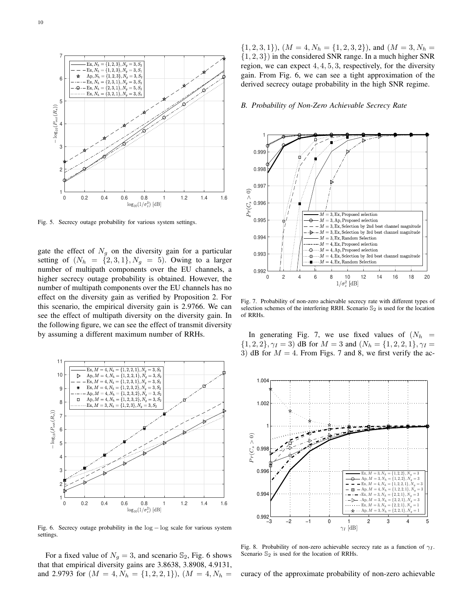

Fig. 5. Secrecy outage probability for various system settings.

gate the effect of  $N_g$  on the diversity gain for a particular setting of  $(N_h = \{2,3,1\}, N_g = 5)$ . Owing to a larger number of multipath components over the EU channels, a higher secrecy outage probability is obtained. However, the number of multipath components over the EU channels has no effect on the diversity gain as verified by Proposition 2. For this scenario, the empirical diversity gain is 2.9766. We can see the effect of multipath diversity on the diversity gain. In the following figure, we can see the effect of transmit diversity by assuming a different maximum number of RRHs.



Fig. 6. Secrecy outage probability in the log − log scale for various system settings.

For a fixed value of  $N_g = 3$ , and scenario  $\mathbb{S}_2$ , Fig. 6 shows that that empirical diversity gains are 3.8638, 3.8908, 4.9131, and 2.9793 for  $(M = 4, N_h = \{1, 2, 2, 1\})$ ,  $(M = 4, N_h =$ 

 $\{1, 2, 3, 1\}$ ),  $(M = 4, N_h = \{1, 2, 3, 2\})$ , and  $(M = 3, N_h =$ {1, 2, 3}) in the considered SNR range. In a much higher SNR region, we can expect  $4, 4, 5, 3$ , respectively, for the diversity gain. From Fig. 6, we can see a tight approximation of the derived secrecy outage probability in the high SNR regime.

#### *B. Probability of Non-Zero Achievable Secrecy Rate*



Fig. 7. Probability of non-zero achievable secrecy rate with different types of selection schemes of the interfering RRH. Scenario  $\mathbb{S}_2$  is used for the location of RRHs.

In generating Fig. 7, we use fixed values of  $(N_h$  =  $\{1, 2, 2\}, \gamma_I = 3$  dB for  $M = 3$  and  $(N_h = \{1, 2, 2, 1\}, \gamma_I =$ 3) dB for  $M = 4$ . From Figs. 7 and 8, we first verify the ac-



Fig. 8. Probability of non-zero achievable secrecy rate as a function of  $\gamma_I$ . Scenario  $\mathbb{S}_2$  is used for the location of RRHs.

curacy of the approximate probability of non-zero achievable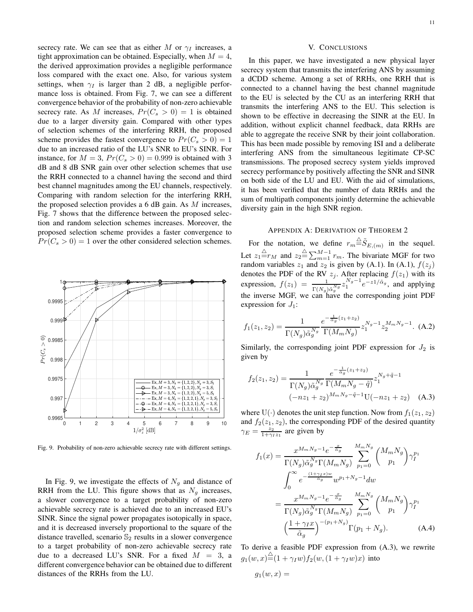secrecy rate. We can see that as either M or  $\gamma_I$  increases, a tight approximation can be obtained. Especially, when  $M = 4$ , the derived approximation provides a negligible performance loss compared with the exact one. Also, for various system settings, when  $\gamma_I$  is larger than 2 dB, a negligible performance loss is obtained. From Fig. 7, we can see a different convergence behavior of the probability of non-zero achievable secrecy rate. As M increases,  $Pr(C_s > 0) = 1$  is obtained due to a larger diversity gain. Compared with other types of selection schemes of the interfering RRH, the proposed scheme provides the fastest convergence to  $Pr(C_s > 0) = 1$ due to an increased ratio of the LU's SNR to EU's SINR. For instance, for  $M = 3$ ,  $Pr(C_s > 0) = 0.999$  is obtained with 3 dB and 8 dB SNR gain over other selection schemes that use the RRH connected to a channel having the second and third best channel magnitudes among the EU channels, respectively. Comparing with random selection for the interfering RRH, the proposed selection provides a  $6$  dB gain. As  $M$  increases, Fig. 7 shows that the difference between the proposed selection and random selection schemes increases. Moreover, the proposed selection scheme provides a faster convergence to  $Pr(C_s > 0) = 1$  over the other considered selection schemes.



Fig. 9. Probability of non-zero achievable secrecy rate with different settings.

In Fig. 9, we investigate the effects of  $N_g$  and distance of RRH from the LU. This figure shows that as  $N<sub>g</sub>$  increases, a slower convergence to a target probability of non-zero achievable secrecy rate is achieved due to an increased EU's SINR. Since the signal power propagates isotopically in space, and it is decreased inversely proportional to the square of the distance travelled, scenario  $\mathbb{S}_2$  results in a slower convergence to a target probability of non-zero achievable secrecy rate due to a decreased LU's SNR. For a fixed  $M = 3$ , a different convergence behavior can be obtained due to different distances of the RRHs from the LU.

## V. CONCLUSIONS

In this paper, we have investigated a new physical layer secrecy system that transmits the interfering ANS by assuming a dCDD scheme. Among a set of RRHs, one RRH that is connected to a channel having the best channel magnitude to the EU is selected by the CU as an interfering RRH that transmits the interfering ANS to the EU. This selection is shown to be effective in decreasing the SINR at the EU. In addition, without explicit channel feedback, data RRHs are able to aggregate the receive SNR by their joint collaboration. This has been made possible by removing ISI and a deliberate interfering ANS from the simultaneous legitimate CP-SC transmissions. The proposed secrecy system yields improved secrecy performance by positively affecting the SNR and SINR on both side of the LU and EU. With the aid of simulations, it has been verified that the number of data RRHs and the sum of multipath components jointly determine the achievable diversity gain in the high SNR region.

# APPENDIX A: DERIVATION OF THEOREM 2

For the notation, we define  $r_m \triangleq \tilde{S}_{E,(m)}$  in the sequel. Let  $z_1 \triangleq r_M$  and  $z_2 \triangleq \sum_{m=1}^{M-1} r_m$ . The bivariate MGF for two random variables  $z_1$  and  $z_2$  is given by (A.1). In (A.1),  $f(z_j)$ denotes the PDF of the RV  $z_j$ . After replacing  $f(z_1)$  with its expression,  $f(z_1) = \frac{1}{\Gamma(N_g)\tilde{\alpha}_g^{Ng}} z_1^{N_g-1} e^{-z_1/\tilde{\alpha}_g}$ , and applying the inverse MGF, we can have the corresponding joint PDF expression for  $J_1$ :

$$
f_1(z_1, z_2) = \frac{1}{\Gamma(N_g)\tilde{\alpha}_g^{N_g}} \frac{e^{-\frac{1}{\tilde{\alpha}_g}(z_1+z_2)}}{\Gamma(M_mN_g)} z_1^{N_g-1} z_2^{M_mN_g-1}.
$$
 (A.2)

Similarly, the corresponding joint PDF expression for  $J_2$  is given by

$$
f_2(z_1, z_2) = \frac{1}{\Gamma(N_g)\tilde{\alpha}_g^{N_g}} \frac{e^{-\frac{1}{\tilde{\alpha}_g}(z_1+z_2)}}{\Gamma(M_mN_g - \tilde{q})} z_1^{N_g + \tilde{q} - 1}
$$
  

$$
(-nz_1 + z_2)^{M_mN_g - \tilde{q} - 1} U(-nz_1 + z_2)
$$
 (A.3)

where  $U(\cdot)$  denotes the unit step function. Now from  $f_1(z_1, z_2)$ and  $f_2(z_1, z_2)$ , the corresponding PDF of the desired quantity  $\gamma_E = \frac{z_2}{1 + \gamma_I z_1}$  are given by

$$
f_1(x) = \frac{x^{M_m N_g - 1} e^{-\frac{x}{\hat{\alpha}_g}}}{\Gamma(N_g) \hat{\alpha}_g^{N_g} \Gamma(M_m N_g)} \sum_{p_1=0}^{M_m N_g} {M_m N_g \choose p_1} \gamma_I^{p_1}
$$

$$
= \frac{\int_0^\infty e^{-\frac{(1+\gamma_I x)w}{\hat{\alpha}_g} w^{p_1+N_g-1} dw}}{\Gamma(N_g) \hat{\alpha}_g^{N_g} \Gamma(M_m N_g)} \sum_{p_1=0}^{M_m N_g} {M_m N_g \choose p_1} \gamma_I^{p_1}
$$

$$
= \frac{1 + \gamma_I x}{\hat{\alpha}_g} e^{-\frac{(p_1 + N_g)}{\hat{\alpha}_g}} \Gamma(p_1 + N_g). \tag{A.4}
$$

To derive a feasible PDF expression from (A.3), we rewrite  $g_1(w,x) \triangleq (1 + \gamma_I w) f_2(w,(1 + \gamma_I w)x)$  into  $g_1(w, x) =$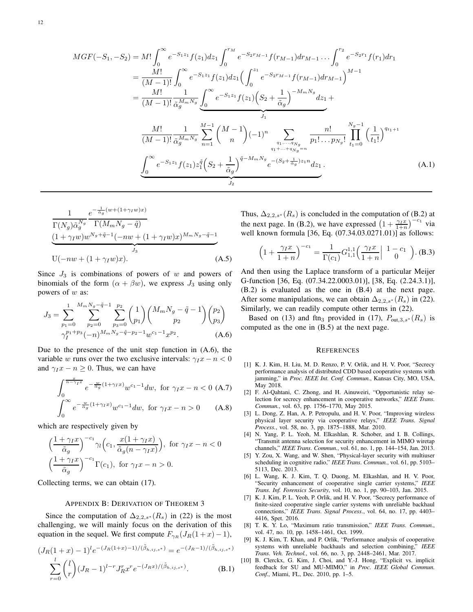$$
12\quad
$$

$$
MGF(-S_1, -S_2) = M! \int_0^{\infty} e^{-S_1 z_1} f(z_1) dz_1 \int_0^{r_M} e^{-S_2 r_{M-1}} f(r_{M-1}) dr_{M-1} \dots \int_0^{r_2} e^{-S_2 r_1} f(r_1) dr_1
$$
  
\n
$$
= \frac{M!}{(M-1)!} \int_0^{\infty} e^{-S_1 z_1} f(z_1) dz_1 \Biggl( \int_0^{z_1} e^{-S_2 r_{M-1}} f(r_{M-1}) dr_{M-1} \Biggr)^{M-1}
$$
  
\n
$$
= \frac{M!}{(M-1)!} \frac{1}{\tilde{\alpha}_g^{M_m N_g}} \underbrace{\int_0^{\infty} e^{-S_1 z_1} f(z_1) \Biggl( S_2 + \frac{1}{\tilde{\alpha}_g} \Biggr)^{-M_m N_g}}_{J_1} dz_1 + \frac{M!}{J_1}
$$
  
\n
$$
\frac{M!}{(M-1)!} \frac{1}{\tilde{\alpha}_g^{M_m N_g}} \sum_{n=1}^{M-1} {M-1 \choose n} (-1)^n \sum_{\substack{q_1, \dots, q_{N_g} \\ q_1 + \dots + q_{N_g} = n}} \frac{n!}{p_1! \dots p_{N_g}!} \prod_{t_1=0}^{N_g-1} \left( \frac{1}{t_1!} \right)^{q_{t_1+1}}
$$
  
\n
$$
\underbrace{\int_0^{\infty} e^{-S_1 z_1} f(z_1) z_1^{\tilde{q}} \Biggl( S_2 + \frac{1}{\tilde{\alpha}_g} \Biggr)^{\tilde{q} - M_m N_g} e^{-\left( S_2 + \frac{1}{\tilde{\alpha}_g} \right) z_1 n} dz_1}_{J_2}.
$$
\n(A.1)

$$
\frac{1}{\Gamma(N_g)\tilde{\alpha}_g^{N_g}} \frac{e^{-\frac{1}{\tilde{\alpha}_g}(w + (1 + \gamma_I w)x)}}{\Gamma(M_m N_g - \tilde{q})}
$$
\n
$$
\frac{(1 + \gamma_I w)w^{N_g + \tilde{q} - 1}(-nw + (1 + \gamma_I w)x)^{M_m N_g - \tilde{q} - 1}}{J_3}
$$
\n
$$
U(-nw + (1 + \gamma_I w)x). \tag{A.5}
$$

Since  $J_3$  is combinations of powers of w and powers of binomials of the form  $(\alpha + \beta w)$ , we express  $J_3$  using only powers of  $w$  as:

$$
J_3 = \sum_{p_1=0}^{1} \sum_{p_2=0}^{M_m N_g - \tilde{q}-1} \sum_{p_3=0}^{p_2} {1 \choose p_1} {M_m N_g - \tilde{q}-1 \choose p_2} {p_2 \choose p_3}
$$

$$
\gamma_I^{p_1+p_3}(-n)^{M_m N_g - \tilde{q}-p_2-1} w^{c_1-1} x^{p_2}.
$$
 (A.6)

Due to the presence of the unit step function in (A.6), the variable w runs over the two exclusive intervals:  $\gamma_I x - n < 0$ and  $\gamma_I x - n \geq 0$ . Thus, we can have

$$
\int_0^{\frac{x}{n-\gamma_I x}} e^{-\frac{w}{\alpha_g}(1+\gamma_I x)} w^{c_1-1} dw, \text{ for } \gamma_I x - n < 0 \text{ (A.7)}
$$

$$
\int_0^\infty e^{-\frac{w}{\alpha_g}(1+\gamma_I x)} w^{c_1-1} dw, \text{ for } \gamma_I x - n > 0 \qquad (A.8)
$$

 $J<sub>0</sub>$ which are respectively given by

$$
\left(\frac{1+\gamma_I x}{\tilde{\alpha}_g}\right)^{-c_1} \gamma_l \left(c_1, \frac{x(1+\gamma_I x)}{\tilde{\alpha}_g(n-\gamma_I x)}\right), \text{ for } \gamma_I x - n < 0
$$

$$
\left(\frac{1+\gamma_I x}{\tilde{\alpha}_g}\right)^{-c_1} \Gamma(c_1), \text{ for } \gamma_I x - n > 0.
$$

Collecting terms, we can obtain (17).

### APPENDIX B: DERIVATION OF THEOREM 3

Since the computation of  $\Delta_{2,2,s^*}(R_s)$  in (22) is the most challenging, we will mainly focus on the derivation of this equation in the sequel. We first compute  $F_{\gamma_R}(J_R(1+x)-1)$ ,

$$
(J_R(1+x)-1)^l e^{-(J_R(1+x)-1)/(\tilde{\beta}_{h,ij,s^*})} = e^{-(J_R-1)/(\tilde{\beta}_{h,ij,s^*})}
$$

$$
\sum_{r=0}^l {l \choose r} (J_R-1)^{l-r} J_R^r x^r e^{-(J_R x)/(\tilde{\beta}_{h,ij,s^*})}.
$$
(B.1)

Thus,  $\Delta_{2,2,s^*}(R_s)$  is concluded in the computation of (B.2) at the next page. In (B.2), we have expressed  $\left(1 + \frac{\gamma_I x}{1+n}\right)^{-c_1}$  via well known formula [36, Eq.  $(07.34.03.0271.01)$ ] as follows:

$$
\left(1 + \frac{\gamma_I x}{1+n}\right)^{-c_1} = \frac{1}{\Gamma(c_1)} G_{1,1}^{1,1} \left(\frac{\gamma_I x}{1+n}\middle| \begin{array}{c} 1-c_1 \\ 0 \end{array}\right). \text{(B.3)}
$$

And then using the Laplace transform of a particular Meijer G-function [36, Eq. (07.34.22.0003.01)], [38, Eq. (2.24.3.1)], (B.2) is evaluated as the one in (B.4) at the next page. After some manipulations, we can obtain  $\Delta_{2,2,s^*}(R_s)$  in (22). Similarly, we can readily compute other terms in (22).

Based on (13) and ftn<sub>3</sub> provided in (17),  $P_{\text{out},3,s^*}(R_s)$  is computed as the one in (B.5) at the next page.

#### **REFERENCES**

- [1] K. J. Kim, H. Liu, M. D. Renzo, P. V. Orlik, and H. V. Poor, "Secrecy performance analysis of distributed CDD based cooperative systems with jamming," in *Proc. IEEE Int. Conf. Commun.*, Kansas City, MO, USA, May 2018.
- [2] F. Al-Qahtani, C. Zhong, and H. Ainuweiri, "Opportunistic relay selection for secrecy enhancement in cooperative networks," *IEEE Trans. Commun.*, vol. 63, pp. 1756–1770, May 2015.
- [3] L. Dong, Z. Han, A. P. Petropulu, and H. V. Poor, "Improving wireless physical layer security via cooperative relays," *IEEE Trans. Signal Process.*, vol. 58, no. 3, pp. 1875–1888, Mar. 2010.
- [4] N. Yang, P. L. Yeoh, M. Elkashlan, R. Schober, and I. B. Collings, "Transmit antenna selection for security enhancement in MIMO wiretap channels," *IEEE Trans. Commun.*, vol. 61, no. 1, pp. 144–154, Jan. 2013.
- [5] Y. Zou, X. Wang, and W. Shen, "Physical-layer security with multiuser scheduling in cognitive radio," *IEEE Trans. Commun.*, vol. 61, pp. 5103– 5113, Dec. 2013.
- [6] L. Wang, K. J. Kim, T. Q. Duong, M. Elkashlan, and H. V. Poor, "Security enhancement of cooperative single carrier systems," *IEEE Trans. Inf. Forensics Security*, vol. 10, no. 1, pp. 90–103, Jan. 2015.
- [7] K. J. Kim, P. L. Yeoh, P. Orlik, and H. V. Poor, "Secrecy performance of finite-sized cooperative single carrier systems with unreliable backhaul connections," *IEEE Trans. Signal Process.*, vol. 64, no. 17, pp. 4403– 4416, Spet. 2016.
- [8] T. K. Y. Lo, "Maximum ratio transmission," *IEEE Trans. Commun.*, vol. 47, no. 10, pp. 1458–1461, Oct. 1999.
- [9] K. J. Kim, T. Khan, and P. Orlik, "Performance analysis of cooperative systems with unreliable backhauls and selection combining," *IEEE Trans. Veh. Technol.*, vol. 66, no. 3, pp. 2448–2461, Mar. 2017.
- [10] B. Clerckx, G. Kim, J. Choi, and Y.-J. Hong, "Explicit vs. implicit feedback for SU and MU-MIMO," in *Proc. IEEE Global Commun. Conf.*, Miami, FL, Dec. 2010, pp. 1–5.